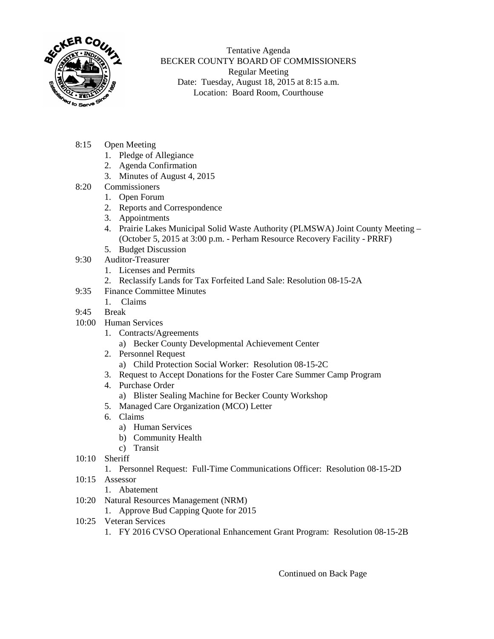

Tentative Agenda BECKER COUNTY BOARD OF COMMISSIONERS Regular Meeting Date: Tuesday, August 18, 2015 at 8:15 a.m. Location: Board Room, Courthouse

- 8:15 Open Meeting
	- 1. Pledge of Allegiance
	- 2. Agenda Confirmation
	- 3. Minutes of August 4, 2015
- 8:20 Commissioners
	- 1. Open Forum
	- 2. Reports and Correspondence
	- 3. Appointments
	- 4. Prairie Lakes Municipal Solid Waste Authority (PLMSWA) Joint County Meeting (October 5, 2015 at 3:00 p.m. - Perham Resource Recovery Facility - PRRF)
	- 5. Budget Discussion
- 9:30 Auditor-Treasurer
	- 1. Licenses and Permits
	- 2. Reclassify Lands for Tax Forfeited Land Sale: Resolution 08-15-2A
- 9:35 Finance Committee Minutes
- 1. Claims
- 9:45 Break
- 10:00 Human Services
	- 1. Contracts/Agreements
		- a) Becker County Developmental Achievement Center
	- 2. Personnel Request
		- a) Child Protection Social Worker: Resolution 08-15-2C
	- 3. Request to Accept Donations for the Foster Care Summer Camp Program
	- 4. Purchase Order
		- a) Blister Sealing Machine for Becker County Workshop
	- 5. Managed Care Organization (MCO) Letter
	- 6. Claims
		- a) Human Services
		- b) Community Health
		- c) Transit
- 10:10 Sheriff
	- 1. Personnel Request: Full-Time Communications Officer: Resolution 08-15-2D
- 10:15 Assessor
	- 1. Abatement
- 10:20 Natural Resources Management (NRM)
	- 1. Approve Bud Capping Quote for 2015
- 10:25 Veteran Services
	- 1. FY 2016 CVSO Operational Enhancement Grant Program: Resolution 08-15-2B

Continued on Back Page